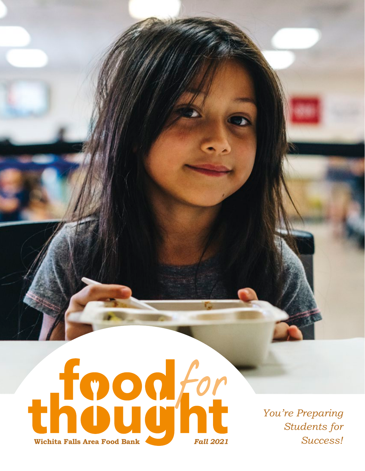

*You're Preparing Students for Success!*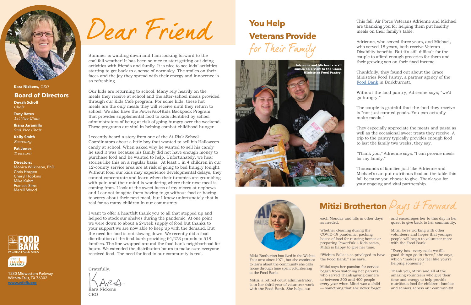Summer is winding down and I am looking forward to the cool fall weather! It has been so nice to start getting out doing activities with friends and family. It is nice to see kids' activities starting to get back to a sense of normalcy. The smiles on their faces and the joy they spread with their energy and innocence is so refreshing.

Our kids are returning to school. Many rely heavily on the meals they receive at school and the after-school meals provided through our Kids Café program. For some kids, these hot meals are the only meals they will receive until they return to school. We also have the PowerPak4Kids Backpack Program that provides supplemental food to kids identified by school administrators of being at risk of going hungry over the weekend. These programs are vital in helping combat childhood hunger.

I recently heard a story from one of the At-Risk School Coordinators about a little boy that wanted to sell his Halloween candy at school. When asked why he wanted to sell his candy he said it was because his family did not have enough money to purchase food and he wanted to help. Unfortunately, we hear stories like this on a regular basis. At least 1 in 4 children in our 12-county service area are at risk of going to bed hungry tonight. Without food our kids may experience developmental delays, they cannot concentrate and learn when their tummies are grumbling with pain and their mind is wondering where their next meal is coming from. I look at the sweet faces of my nieces at nephews and I cannot imagine them having to go without food or having to worry about their next meal, but I know unfortunately that is real for so many children in our community.

I want to offer a heartfelt thank you to all that stepped up and helped to stock our shelves during the pandemic. At one point we were down to about a 2-week supply of food but thanks to your support we are now able to keep up with the demand. But the need for food is not slowing down. We recently did a food distribution at the food bank providing 64,273 pounds to 518 families. The line wrapped around the food bank neighborhood for hours. We extended the distribution hours to make sure everyone received food. The need for food in our community is real.

Gratefully,

Kara Nickens

CEO

## **You Help Veterans Provide** for Their Family





This fall, Air Force Veterans Adrienne and Michael are thanking you for helping them put healthy meals on their family's table.

Adrienne, who served three years, and Michael, who served 18 years, both receive Veteran Disability benefits. But it's still difficult for the couple to afford enough groceries for them and their growing son on their fixed income.

Thankfully, they found out about the Grace Ministries Food Pantry, a partner agency of the [Food Bank](http://www.wfafb.org) in Burkburnett.

Without the food pantry, Adrienne says, "we'd go hungry."

The couple is grateful that the food they receive is "not just canned goods. You can actually make meals."

They especially appreciate the meats and pasta as well as the occasional sweet treats they receive. A trip to the pantry typically provides enough food to last the family two weeks, they say.

"Thank you," Adrienne says. "I can provide meals for my family."

Thousands of families just like Adrienne and Michael's can put nutritious food on the table this fall because you choose to give. Thank you for your ongoing and vital partnership.

Mitizi Brotherton *Pays* if Forward

## **Board of Directors**

**Devah Scholl** *Chair*

**Tony Bates** *1st Vice Chair*

**Iliana Jaramillo**  *2nd Vice Chair*

**Kelly Smith** *Secretary*

**Pat Jones** *Treasurer*

### **Directors:**

Monica Wilkinson, PhD. Chris Horgen Cheryl Hopkins Mike Kuhrt Frances Sims Merrill Wood







**Kara Nickens,** *CEO*

Mitizi Brotherton has lived in the Wichita Falls area since 1971, but she continues to learn about the community she calls home through time spent volunteering at the Food Bank.

Mitizi, a retired court administrator, is in her third year of volunteer work with the Food Bank. She helps out

each Monday and fills in other days

as needed.

Whether cleaning during the

COVID-19 pandemic, packing boxes of food for nursing homes or preparing PowerPak 4 Kids sacks, Mitizi is happy to give her time.

"Wichita Falls is so privileged to have

the Food Bank," she says.

Mitizi says her passion for service began from watching her parents, who served Thanksgiving dinners to between 300 and 400 people every year when Mitizi was a child — something that she never forgot and encourages her to this day in her quest to give back to her community.

Mitizi loves working with other volunteers and hopes that younger people will begin to volunteer more with the Food Bank.

"Every box, every sack we fill, good things go in there," she says, which "makes you feel like you're helping someone."

Thank you, Mitizi and all of the amazing volunteers who give their time and energy to help provide nutritious food for children, families and seniors across our community!

1230 Midwestern Parkway Wichita Falls, TX 76302 **[www.wfafb.org](http://www.wfafb.org)**

Dear Friend